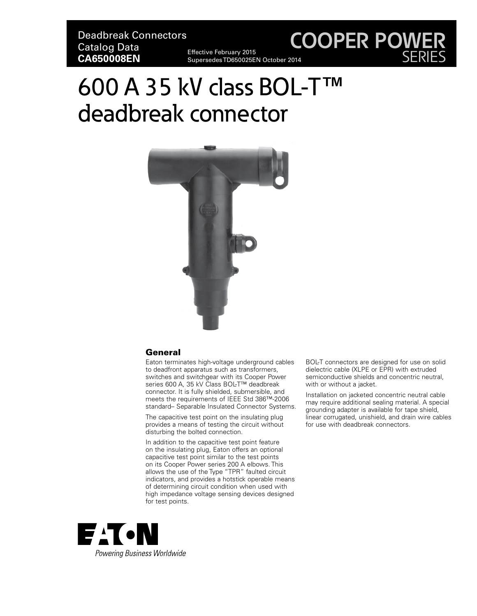Supersedes TD650025EN October 2014 **COOPER POWER**

# 600 A 35 kV class BOL-T**™** deadbreak connector



### **General**

Eaton terminates high-voltage underground cables to deadfront apparatus such as transformers, switches and switchgear with its Cooper Power series 600 A, 35 kV Class BOL-T™ deadbreak connector. It is fully shielded, submersible, and meets the requirements of IEEE Std 386™-2006 standard– Separable Insulated Connector Systems.

The capacitive test point on the insulating plug provides a means of testing the circuit without disturbing the bolted connection.

In addition to the capacitive test point feature on the insulating plug, Eaton offers an optional capacitive test point similar to the test points on its Cooper Power series 200 A elbows. This allows the use of the Type "TPR" faulted circuit indicators, and provides a hotstick operable means of determining circuit condition when used with high impedance voltage sensing devices designed for test points.

BOL-T connectors are designed for use on solid dielectric cable (XLPE or EPR) with extruded semiconductive shields and concentric neutral, with or without a jacket.

SERIES

Installation on jacketed concentric neutral cable may require additional sealing material. A special grounding adapter is available for tape shield, linear corrugated, unishield, and drain wire cables for use with deadbreak connectors.

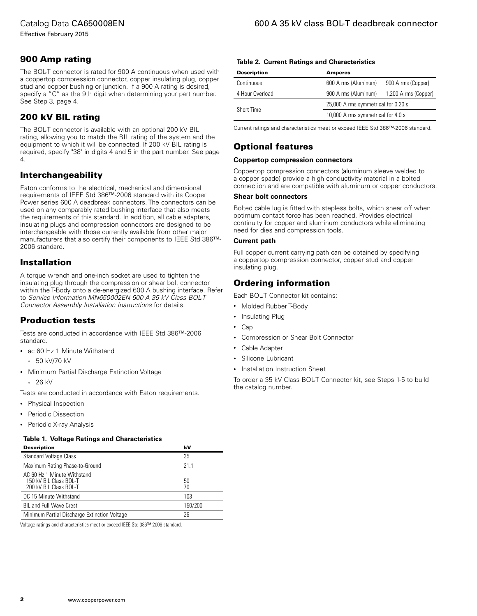## 900 Amp rating

The BOL-T connector is rated for 900 A continuous when used with a coppertop compression connector, copper insulating plug, copper stud and copper bushing or junction. If a 900 A rating is desired, specify a "C" as the 9th digit when determining your part number. See Step 3, page 4.

## 200 kV BIL rating

The BOL-T connector is available with an optional 200 kV BIL rating, allowing you to match the BIL rating of the system and the equipment to which it will be connected. If 200 kV BIL rating is required, specify "38" in digits 4 and 5 in the part number. See page 4.

## Interchangeability

Eaton conforms to the electrical, mechanical and dimensional requirements of IEEE Std 386™-2006 standard with its Cooper Power series 600 A deadbreak connectors. The connectors can be used on any comparably rated bushing interface that also meets the requirements of this standard. In addition, all cable adapters, insulating plugs and compression connectors are designed to be interchangeable with those currently available from other major manufacturers that also certify their components to IEEE Std 386™- 2006 standard.

## Installation

A torque wrench and one-inch socket are used to tighten the insulating plug through the compression or shear bolt connector within the T-Body onto a de-energized 600 A bushing interface. Refer to *Service Information MN650002EN 600 A 35 kV Class BOL-T Connector Assembly Installation Instructions* for details.

## Production tests

Tests are conducted in accordance with IEEE Std 386™-2006 standard.

- ac 60 Hz 1 Minute Withstand
	- 50 kV/70 kV
- Minimum Partial Discharge Extinction Voltage
- 26 kV

Tests are conducted in accordance with Eaton requirements.

- Physical Inspection
- Periodic Dissection
- Periodic X-ray Analysis

## **Table 1. Voltage Ratings and Characteristics**

| <b>Description</b>                                                              | kV       |
|---------------------------------------------------------------------------------|----------|
| <b>Standard Voltage Class</b>                                                   | 35       |
| Maximum Rating Phase-to-Ground                                                  | 21.1     |
| AC 60 Hz 1 Minute Withstand<br>150 kV BIL Class BOL-T<br>200 kV BIL Class BOL-T | 50<br>70 |
| DC 15 Minute Withstand                                                          | 103      |
| <b>BIL and Full Wave Crest</b>                                                  | 150/200  |
| Minimum Partial Discharge Extinction Voltage                                    | 26       |

Voltage ratings and characteristics meet or exceed IEEE Std 386™-2006 standard.

## **Table 2. Current Ratings and Characteristics**

| <b>Description</b> | <b>Amperes</b>                            |                    |  |  |  |
|--------------------|-------------------------------------------|--------------------|--|--|--|
| Continuous         | 600 A rms (Aluminum)                      | 900 A rms (Copper) |  |  |  |
| 4 Hour Overload    | 900 A rms (Aluminum) 1,200 A rms (Copper) |                    |  |  |  |
|                    | 25,000 A rms symmetrical for 0.20 s       |                    |  |  |  |
| Short Time         | 10,000 A rms symmetrical for 4.0 s        |                    |  |  |  |

Current ratings and characteristics meet or exceed IEEE Std 386™-2006 standard.

## Optional features

#### **Coppertop compression connectors**

Coppertop compression connectors (aluminum sleeve welded to a copper spade) provide a high conductivity material in a bolted connection and are compatible with aluminum or copper conductors.

#### **Shear bolt connectors**

Bolted cable lug is fitted with stepless bolts, which shear off when optimum contact force has been reached. Provides electrical continuity for copper and aluminum conductors while eliminating need for dies and compression tools.

#### **Current path**

Full copper current carrying path can be obtained by specifying a coppertop compression connector, copper stud and copper insulating plug.

## Ordering information

Each BOL-T Connector kit contains:

- Molded Rubber T-Body
- Insulating Plug
- $\cdot$  Can
- Compression or Shear Bolt Connector
- Cable Adapter
- Silicone Lubricant
- Installation Instruction Sheet

To order a 35 kV Class BOL-T Connector kit, see Steps 1-5 to build the catalog number.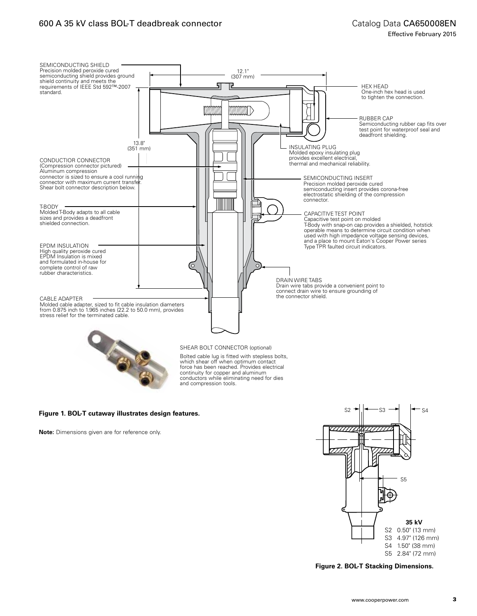## 600 A 35 kV class BOL-T deadbreak connector

## Catalog Data CA650008EN

Effective February 2015



S4 1.50" (38 mm) S5 2.84" (72 mm)

**Figure 2. BOL-T Stacking Dimensions.**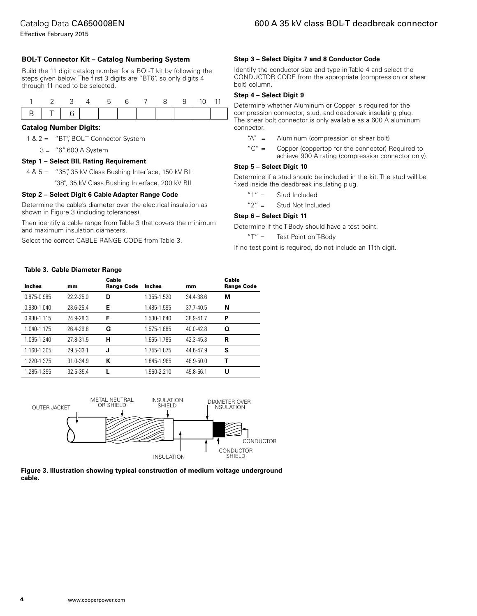## Catalog Data CA650008EN

Effective February 2015

#### **BOL-T Connector Kit – Catalog Numbering System**

Build the 11 digit catalog number for a BOL-T kit by following the steps given below. The first 3 digits are "BT6", so only digits 4 through 11 need to be selected.

|       |  | $h \rightarrow h$ |  |  | - 10 - 11 - |
|-------|--|-------------------|--|--|-------------|
| RITIA |  |                   |  |  |             |

#### **Catalog Number Digits:**

1 & 2 = "BT", BOL-T Connector System

3 = "6", 600 A System

#### **Step 1 – Select BIL Rating Requirement**

4 & 5 = "35", 35 kV Class Bushing Interface, 150 kV BIL

"38", 35 kV Class Bushing Interface, 200 kV BIL

#### **Step 2 – Select Digit 6 Cable Adapter Range Code**

Determine the cable's diameter over the electrical insulation as shown in Figure 3 (including tolerances).

Then identify a cable range from Table 3 that covers the minimum and maximum insulation diameters.

Select the correct CABLE RANGE CODE from Table 3.

#### **Step 3 – Select Digits 7 and 8 Conductor Code**

Identify the conductor size and type in Table 4 and select the CONDUCTOR CODE from the appropriate (compression or shear bolt) column.

#### **Step 4 – Select Digit 9**

Determine whether Aluminum or Copper is required for the compression connector, stud, and deadbreak insulating plug. The shear bolt connector is only available as a 600 A aluminum connector.

"A" = Aluminum (compression or shear bolt)

"C" = Copper (coppertop for the connector) Required to achieve 900 A rating (compression connector only).

#### **Step 5 – Select Digit 10**

Determine if a stud should be included in the kit. The stud will be fixed inside the deadbreak insulating plug.

- $1" =$  Stud Included
- "2" = Stud Not Included

#### **Step 6 – Select Digit 11**

Determine if the T-Body should have a test point.

"T" = Test Point on T-Body

If no test point is required, do not include an 11th digit.

#### **Table 3. Cable Diameter Range**

| Inches      | mm            | Cable<br><b>Range Code</b> | <b>Inches</b> | mm            | Cable<br><b>Range Code</b> |
|-------------|---------------|----------------------------|---------------|---------------|----------------------------|
| 0.875-0.985 | $22.2 - 25.0$ | D                          | 1.355-1.520   | 34.4-38.6     | М                          |
| 0.930-1.040 | 23.6-26.4     | Е                          | 1.485-1.595   | $37.7 - 40.5$ | N                          |
| 0.980-1.115 | 24.9-28.3     | F                          | 1.530-1.640   | 38.9-41.7     | P                          |
| 1.040-1.175 | 26.4-29.8     | G                          | 1.575-1.685   | $40.0 - 42.8$ | Q                          |
| 1.095-1.240 | 27.8-31.5     | н                          | 1.665-1.785   | 42.3-45.3     | R                          |
| 1.160-1.305 | 29.5-33.1     | J                          | 1.755-1.875   | 44.6-47.9     | s                          |
| 1.220-1.375 | $31.0 - 34.9$ | к                          | 1.845-1.965   | $46.9 - 50.0$ | т                          |
| 1.285-1.395 | 32.5-35.4     |                            | 1.960-2.210   | 49.8-56.1     | U                          |



**Figure 3. Illustration showing typical construction of medium voltage underground cable.**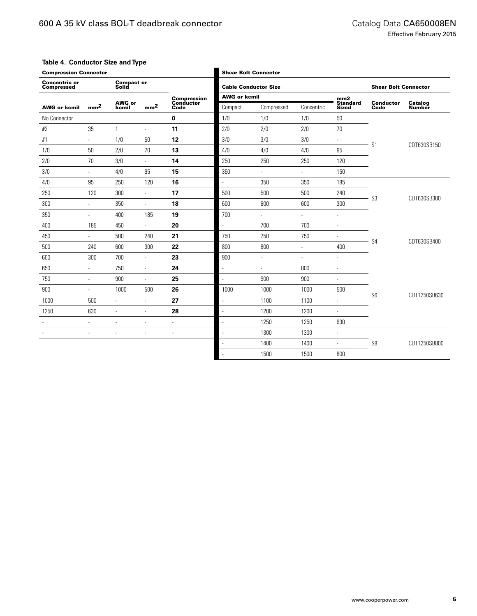Effective February 2015

|  | Table 4. Conductor Size and Type |  |  |  |
|--|----------------------------------|--|--|--|
|--|----------------------------------|--|--|--|

| <b>Compression Connector</b> |                |                          | <b>Shear Bolt Connector</b> |                                 |                             |                |                             |                 |                                                            |
|------------------------------|----------------|--------------------------|-----------------------------|---------------------------------|-----------------------------|----------------|-----------------------------|-----------------|------------------------------------------------------------|
|                              | Solid          |                          |                             | <b>Cable Conductor Size</b>     |                             |                | <b>Shear Bolt Connector</b> |                 |                                                            |
|                              |                |                          |                             |                                 | <b>AWG or kcmil</b>         |                | mm <sub>2</sub>             |                 |                                                            |
| mm <sup>2</sup>              | kcmil          | mm <sup>2</sup>          | Code                        | Compact                         | Compressed                  | Concentric     | <b>Sized</b>                | Code            | <b>Catalog</b><br>Number                                   |
|                              |                |                          | $\mathbf 0$                 | 1/0                             | 1/0                         | 1/0            | 50                          |                 |                                                            |
| 35                           | 1              | $\overline{a}$           | 11                          | 2/0                             | 2/0                         | 2/0            | 70                          |                 | CDT630SB150                                                |
| $\overline{\phantom{a}}$     | 1/0            | 50                       | 12                          | 3/0                             | 3/0                         | 3/0            | $\sim$                      |                 |                                                            |
| 50                           | 2/0            | 70                       | 13                          | 4/0                             | 4/0                         | 4/0            | 95                          |                 |                                                            |
| 70                           | 3/0            | $\overline{\phantom{a}}$ | 14                          | 250                             | 250                         | 250            | 120                         |                 |                                                            |
| ÷.                           | 4/0            | 95                       | 15                          | 350                             | $\mathcal{L}_{\mathcal{A}}$ | $\overline{a}$ | 150                         |                 |                                                            |
| 95                           | 250            | 120                      | 16                          | $\overline{a}$                  | 350                         | 350            | 185                         |                 | CDT630SB300                                                |
| 120                          | 300            | $\overline{a}$           | 17                          | 500                             | 500                         | 500            | 240                         | S <sub>3</sub>  |                                                            |
| ÷.                           | 350            | $\overline{a}$           | 18                          | 600                             | 600                         | 600            | 300                         |                 |                                                            |
| $\overline{\phantom{a}}$     | 400            | 185                      | 19                          | 700                             | $\overline{\phantom{a}}$    | $\sim$         | $\overline{\phantom{a}}$    |                 |                                                            |
| 185                          | 450            | $\overline{a}$           | 20                          | $\overline{a}$                  | 700                         | 700            | $\overline{\phantom{a}}$    |                 | CDT630SB400                                                |
| $\overline{\phantom{a}}$     | 500            | 240                      | 21                          | 750                             | 750                         | 750            | $\overline{\phantom{a}}$    |                 |                                                            |
| 240                          | 600            | 300                      | 22                          | 800                             | 800                         | $\overline{a}$ | 400                         |                 |                                                            |
| 300                          | 700            | $\overline{a}$           | 23                          | 900                             | $\sim$                      | $\overline{a}$ | $\overline{\phantom{a}}$    |                 |                                                            |
| ÷.                           | 750            | $\overline{\phantom{a}}$ | 24                          | $\overline{a}$                  | $\sim$                      | 800            | $\overline{\phantom{a}}$    |                 |                                                            |
| $\sim$                       | 900            | $\blacksquare$           | 25                          | $\overline{\phantom{a}}$        | 900                         | 900            | $\sim$                      |                 | CDT1250SB630                                               |
| $\overline{\phantom{a}}$     | 1000           | 500                      | 26                          | 1000                            | 1000                        | 1000           | 500                         |                 |                                                            |
| 500                          | $\overline{a}$ | $\overline{a}$           | 27                          | $\overline{a}$                  | 1100                        | 1100           | ÷,                          |                 |                                                            |
| 630                          | $\overline{a}$ | $\overline{\phantom{a}}$ | 28                          |                                 | 1200                        | 1200           | ÷,                          |                 |                                                            |
| ÷.                           | $\overline{a}$ | $\overline{a}$           | $\overline{\phantom{a}}$    | $\overline{a}$                  | 1250                        | 1250           | 630                         |                 |                                                            |
| ÷,                           | $\overline{a}$ | $\overline{a}$           | $\overline{\phantom{a}}$    |                                 | 1300                        | 1300           | $\overline{\phantom{a}}$    |                 |                                                            |
|                              |                |                          |                             |                                 | 1400                        | 1400           | $\overline{\phantom{a}}$    | S <sub>8</sub>  | CDT1250SB800                                               |
|                              |                |                          |                             | $\overline{\phantom{a}}$        | 1500                        | 1500           | 800                         |                 |                                                            |
|                              |                | <b>AWG or</b>            | <b>Compact or</b>           | <b>Compression</b><br>Conductor |                             |                |                             | <b>Standard</b> | <b>Conductor</b><br>S1<br>S <sub>4</sub><br>S <sub>6</sub> |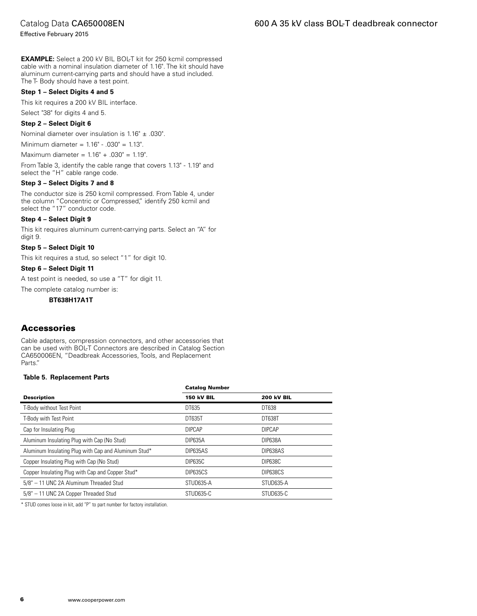## Catalog Data CA650008EN

Effective February 2015

**EXAMPLE:** Select a 200 kV BIL BOL-T kit for 250 kcmil compressed cable with a nominal insulation diameter of 1.16". The kit should have aluminum current-carrying parts and should have a stud included. The T- Body should have a test point.

#### **Step 1 – Select Digits 4 and 5**

This kit requires a 200 kV BIL interface.

#### Select "38" for digits 4 and 5.

#### **Step 2 – Select Digit 6**

Nominal diameter over insulation is  $1.16" \pm .030"$ .

Minimum diameter = 1.16" - .030" = 1.13".

Maximum diameter = 1.16" + .030" = 1.19".

From Table 3, identify the cable range that covers 1.13" - 1.19" and select the "H" cable range code.

#### **Step 3 – Select Digits 7 and 8**

The conductor size is 250 kcmil compressed. From Table 4, under the column "Concentric or Compressed," identify 250 kcmil and select the "17" conductor code.

#### **Step 4 – Select Digit 9**

This kit requires aluminum current-carrying parts. Select an "A" for digit 9.

#### **Step 5 – Select Digit 10**

This kit requires a stud, so select "1" for digit 10.

#### **Step 6 – Select Digit 11**

A test point is needed, so use a "T" for digit 11.

The complete catalog number is:

#### **BT638H17A1T**

## Accessories

Cable adapters, compression connectors, and other accessories that can be used with BOL-T Connectors are described in Catalog Section CA650006EN, "Deadbreak Accessories, Tools, and Replacement Parts."

#### **Table 5. Replacement Parts**

|                                                      | <b>Catalog Number</b> |                   |  |  |
|------------------------------------------------------|-----------------------|-------------------|--|--|
| <b>Description</b>                                   | <b>150 kV BIL</b>     | <b>200 kV BIL</b> |  |  |
| T-Body without Test Point                            | DT635                 | DT638             |  |  |
| T-Body with Test Point                               | DT635T                | DT638T            |  |  |
| Cap for Insulating Plug                              | <b>DIPCAP</b>         | <b>DIPCAP</b>     |  |  |
| Aluminum Insulating Plug with Cap (No Stud)          | DIP635A               | DIP638A           |  |  |
| Aluminum Insulating Plug with Cap and Aluminum Stud* | DIP635AS              | DIP638AS          |  |  |
| Copper Insulating Plug with Cap (No Stud)            | DIP635C               | <b>DIP638C</b>    |  |  |
| Copper Insulating Plug with Cap and Copper Stud*     | DIP635CS              | DIP638CS          |  |  |
| 5/8" - 11 UNC 2A Aluminum Threaded Stud              | STUD635-A             | STUD635-A         |  |  |
| 5/8" - 11 UNC 2A Copper Threaded Stud                | STUD635-C             | STUD635-C         |  |  |

\* STUD comes loose in kit, add "P" to part number for factory installation.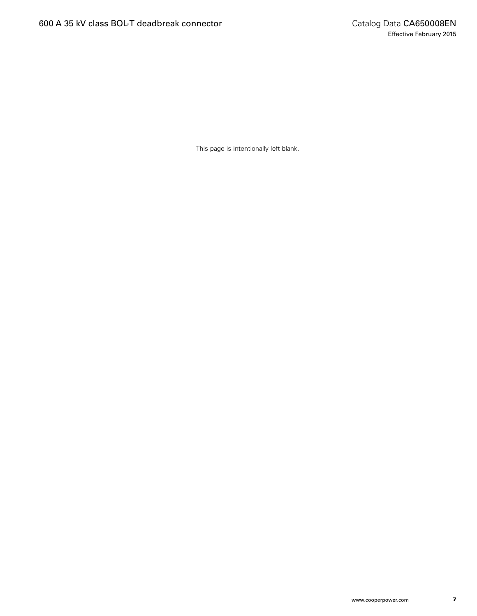This page is intentionally left blank.